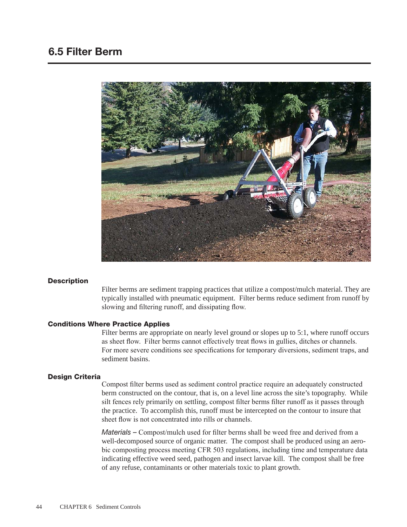

### **Description**

Filter berms are sediment trapping practices that utilize a compost/mulch material. They are typically installed with pneumatic equipment. Filter berms reduce sediment from runoff by slowing and filtering runoff, and dissipating flow.

#### Conditions Where Practice Applies

Filter berms are appropriate on nearly level ground or slopes up to 5:1, where runoff occurs as sheet flow. Filter berms cannot effectively treat flows in gullies, ditches or channels. For more severe conditions see specifications for temporary diversions, sediment traps, and sediment basins.

#### Design Criteria

Compost filter berms used as sediment control practice require an adequately constructed berm constructed on the contour, that is, on a level line across the site's topography. While silt fences rely primarily on settling, compost filter berms filter runoff as it passes through the practice. To accomplish this, runoff must be intercepted on the contour to insure that sheet flow is not concentrated into rills or channels.

*Materials –* Compost/mulch used for filter berms shall be weed free and derived from a well-decomposed source of organic matter. The compost shall be produced using an aerobic composting process meeting CFR 503 regulations, including time and temperature data indicating effective weed seed, pathogen and insect larvae kill. The compost shall be free of any refuse, contaminants or other materials toxic to plant growth.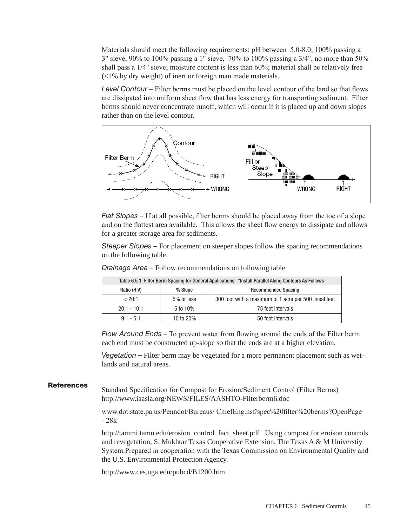Materials should meet the following requirements: pH between 5.0-8.0; 100% passing a 3" sieve, 90% to 100% passing a 1" sieve, 70% to 100% passing a 3/4", no more than 50% shall pass a 1/4" sieve; moisture content is less than 60%; material shall be relatively free (<1% by dry weight) of inert or foreign man made materials.

*Level Contour –* Filter berms must be placed on the level contour of the land so that flows are dissipated into uniform sheet flow that has less energy for transporting sediment. Filter berms should never concentrate runoff, which will occur if it is placed up and down slopes rather than on the level contour.



*Flat Slopes –* If at all possible, filter berms should be placed away from the toe of a slope and on the flattest area available. This allows the sheet flow energy to dissipate and allows for a greater storage area for sediments.

*Steeper Slopes –* For placement on steeper slopes follow the spacing recommendations on the following table.

| Table 6.5.1 Filter Berm Spacing for General Applications *Install Parallel Along Contours As Follows |            |                                                       |
|------------------------------------------------------------------------------------------------------|------------|-------------------------------------------------------|
| Ratio (H:V)                                                                                          | % Slope    | <b>Recommended Spacing</b>                            |
| < 20:1                                                                                               | 5% or less | 300 foot with a maximum of 1 acre per 500 lineal feet |
| $20:1 - 10:1$                                                                                        | 5 to 10%   | 75 foot intervals                                     |
| $9:1 - 5:1$                                                                                          | 10 to 20%  | 50 foot intervals                                     |

*Drainage Area –* Follow recommendations on following table

*Flow Around Ends –* To prevent water from flowing around the ends of the Filter berm each end must be constructed up-slope so that the ends are at a higher elevation.

*Vegetation –* Filter berm may be vegetated for a more permanent placement such as wetlands and natural areas.

## **References**

Standard Specification for Compost for Erosion/Sediment Control (Filter Berms) http://www.iaasla.org/NEWS/FILES/AASHTO-Filterberm6.doc

www.dot.state.pa.us/Penndot/Bureaus/ ChiefEng.nsf/spec%20filter%20berms?OpenPage - 28k

http://tammi.tamu.edu/erosion\_control\_fact\_sheet.pdf Using compost for eroison controls and revegetation, S. Mukhtar Texas Cooperative Extension, The Texas A & M Universtiy System.Prepared in cooperation with the Texas Commission on Environmental Quality and the U.S. Environmental Protection Agency.

http://www.ces.uga.edu/pubcd/B1200.htm